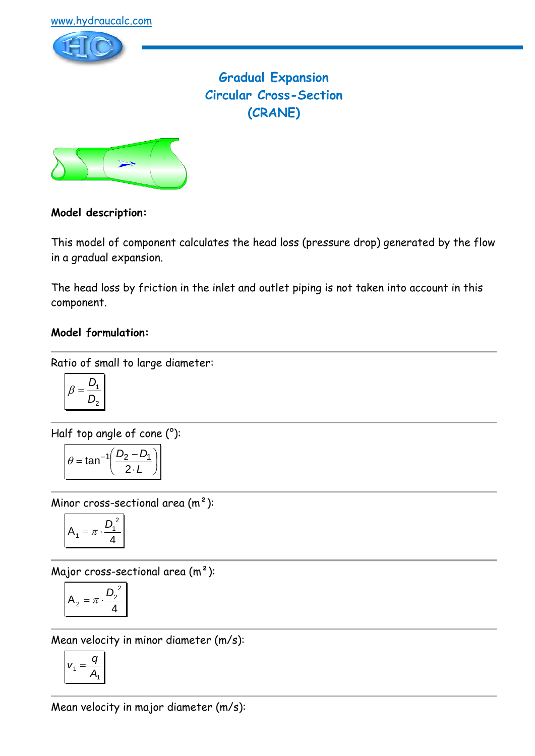

# **Gradual Expansion Circular Cross-Section (CRANE)**



## **Model description:**

This model of component calculates the head loss (pressure drop) generated by the flow in a gradual expansion.

The head loss by friction in the inlet and outlet piping is not taken into account in this component.

## **Model formulation:**

Ratio of small to large diameter:

$$
\beta = \frac{D_1}{D_2}
$$

Half top angle of cone (°):

$$
\theta = \tan^{-1}\left(\frac{D_2 - D_1}{2 \cdot L}\right)
$$

Minor cross-sectional area (m²):

$$
A_1 = \pi \cdot \frac{D_1^2}{4}
$$

Major cross-sectional area (m²):

$$
A_2 = \pi \cdot \frac{D_2^2}{4}
$$

Mean velocity in minor diameter (m/s):

$$
v_1 = \frac{q}{A_1}
$$

Mean velocity in major diameter (m/s):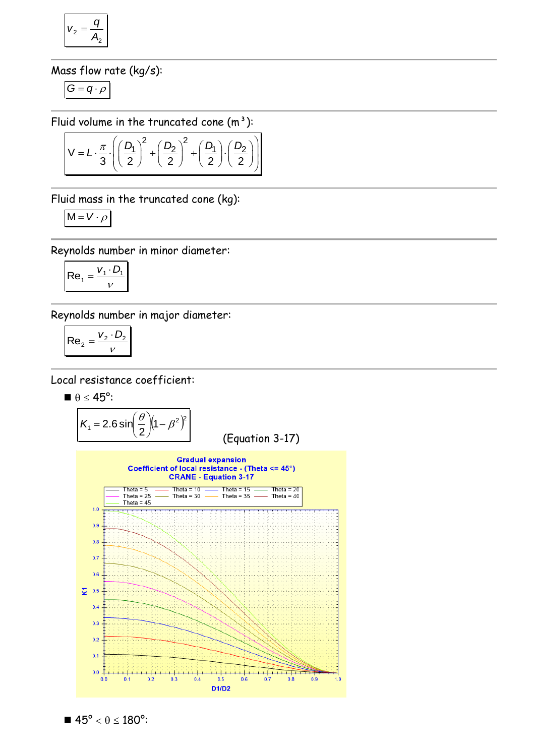$$
v_2 = \frac{q}{A_2}
$$

Mass flow rate (kg/s):

$$
G=q\cdot \rho
$$

$$
\text{Fluid volume in the truncated cone } (\mathsf{m}^3):
$$
\n
$$
V = L \cdot \frac{\pi}{3} \cdot \left( \left( \frac{D_1}{2} \right)^2 + \left( \frac{D_2}{2} \right)^2 + \left( \frac{D_1}{2} \right) \cdot \left( \frac{D_2}{2} \right) \right)
$$

Fluid mass in the truncated cone (kg):

$$
M = V \cdot \rho
$$

Reynolds number in minor diameter:

$$
\mathsf{Re}_1 = \frac{V_1 \cdot D_1}{V}
$$

Reynolds number in major diameter:

$$
\left| \text{Re}_2 = \frac{v_2 \cdot D_2}{v} \right|
$$

Local resistance coefficient:

$$
\blacksquare \; \theta \leq 45^o \mathpunct :
$$

$$
K_1 = 2.6 \sin \left( \frac{\theta}{2} \right) \left( 1 - \beta^2 \right)^2
$$
 (Equation 3-17)



 $\blacksquare$  45°  $< \theta \le 180$ °: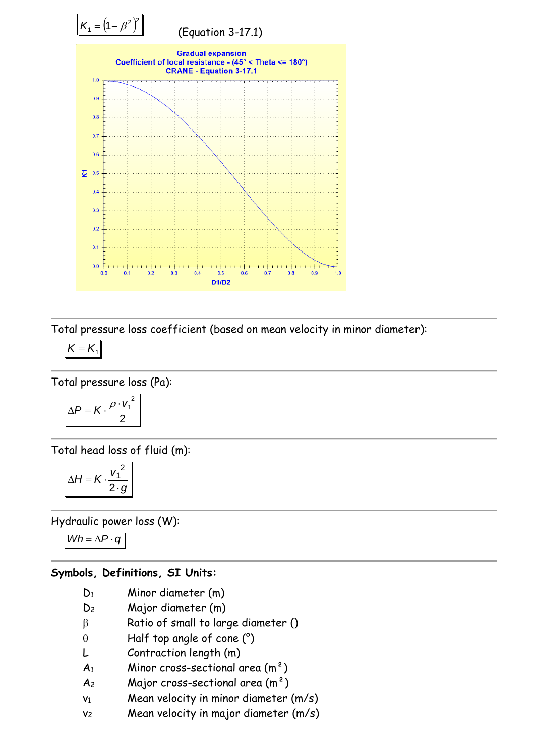

Total pressure loss coefficient (based on mean velocity in minor diameter):

$$
K=K_{1}
$$

Total pressure loss (Pa):

$$
\Delta P = K \cdot \frac{\rho \cdot v_1^2}{2}
$$

Total head loss of fluid (m):

$$
\Delta H = K \cdot \frac{{v_1}^2}{2 \cdot g}
$$

Hydraulic power loss (W):

*Wh* =  $\Delta P \cdot q$ 

#### **Symbols, Definitions, SI Units:**

- D<sup>1</sup> Minor diameter (m)
- D<sup>2</sup> Major diameter (m)
- $\beta$  Ratio of small to large diameter ()
- $\theta$  Half top angle of cone (°)
- L Contraction length (m)
- $A_1$  Minor cross-sectional area  $(m^2)$
- $A_2$  Major cross-sectional area  $(m^2)$
- $v_1$  Mean velocity in minor diameter  $(m/s)$
- v<sub>2</sub> Mean velocity in major diameter (m/s)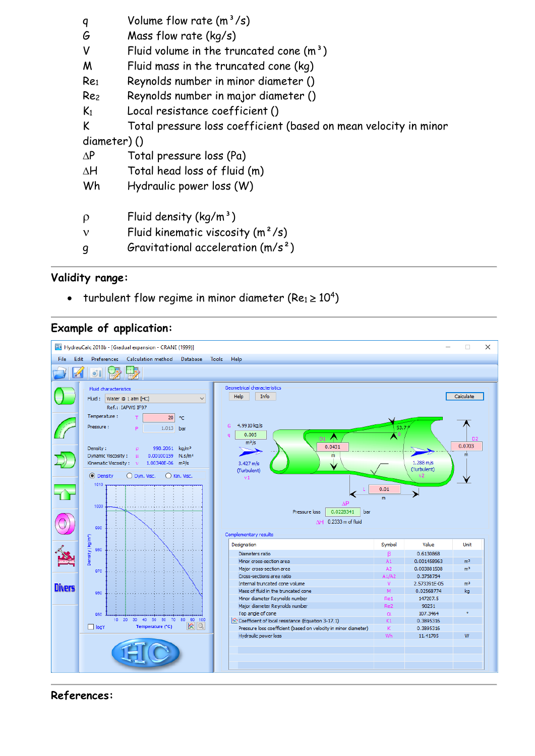|             | q               | Volume flow rate $(m^3/s)$                                       |
|-------------|-----------------|------------------------------------------------------------------|
|             | G               | Mass flow rate $(kq/s)$                                          |
|             | ٧               | Fluid volume in the truncated cone $(m3)$                        |
|             | M               | Fluid mass in the truncated cone (kg)                            |
|             | Re <sub>1</sub> | Reynolds number in minor diameter ()                             |
|             | Re <sub>2</sub> | Reynolds number in major diameter ()                             |
|             | K <sub>1</sub>  | Local resistance coefficient ()                                  |
|             | K               | Total pressure loss coefficient (based on mean velocity in minor |
| diameter)() |                 |                                                                  |
|             | $\Delta P$      | Total pressure loss (Pa)                                         |
|             | ΔH              | Total head loss of fluid (m)                                     |
|             | Wh              | Hydraulic power loss (W)                                         |
|             |                 |                                                                  |
|             | $\rho$          | Fluid density $(kq/m^3)$                                         |
|             | ν               | Fluid kinematic viscosity $(m^2/s)$                              |
|             | g               | Gravitational acceleration $(m/s^2)$                             |

#### **Validity range:**

• turbulent flow regime in minor diameter (Re1  $\geq$  10<sup>4</sup>)

### **Example of application:**



#### **References:**